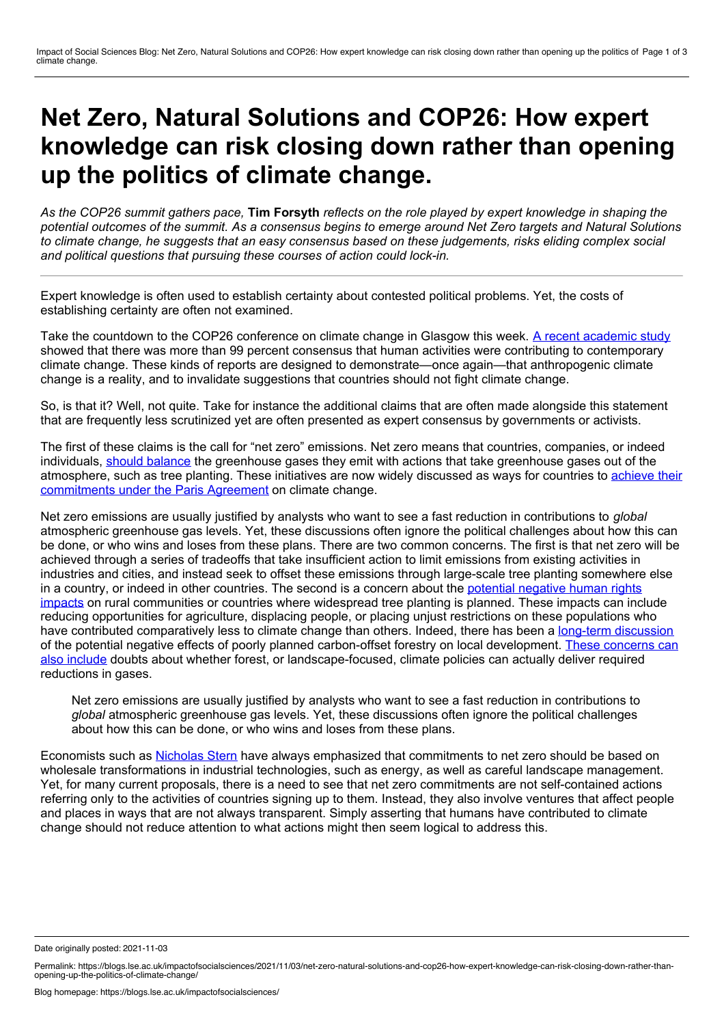## **Net Zero, Natural Solutions and COP26: How expert knowledge can risk closing down rather than opening up the politics of climate change.**

As the COP26 summit gathers pace, Tim Forsyth reflects on the role played by expert knowledge in shaping the potential outcomes of the summit. As a consensus begins to emerge around Net Zero targets and Natural Solutions to climate change, he suggests that an easy consensus based on these judgements, risks eliding complex social *and political questions that pursuing these courses of action could lock-in.*

Expert knowledge is often used to establish certainty about contested political problems. Yet, the costs of establishing certainty are often not examined.

Take the countdown to the COP26 conference on climate change in Glasgow this week. A recent [academic](https://doi.org/10.1088/1748-9326/ac2966) study showed that there was more than 99 percent consensus that human activities were contributing to contemporary climate change. These kinds of reports are designed to demonstrate—once again—that anthropogenic climate change is a reality, and to invalidate suggestions that countries should not fight climate change.

So, is that it? Well, not quite. Take for instance the additional claims that are often made alongside this statement that are frequently less scrutinized yet are often presented as expert consensus by governments or activists.

The first of these claims is the call for "net zero" emissions. Net zero means that countries, companies, or indeed individuals, should [balance](https://netzeroclimate.org/what-is-net-zero/) the greenhouse gases they emit with actions that take greenhouse gases out of the atmosphere, such as tree planting. These initiatives are now widely discussed as ways for countries to achieve their [commitments](https://unfccc.int/climate-action/race-to-zero-campaign) under the Paris Agreement on climate change.

Net zero emissions are usually justified by analysts who want to see a fast reduction in contributions to *global* atmospheric greenhouse gas levels. Yet, these discussions often ignore the political challenges about how this can be done, or who wins and loses from these plans. There are two common concerns. The first is that net zero will be achieved through a series of tradeoffs that take insufficient action to limit emissions from existing activities in industries and cities, and instead seek to offset these emissions through large-scale tree planting somewhere else in a country, or indeed in other countries. The second is a concern about the potential negative human rights impacts on rural [communities](https://racetozero.unfccc.int/net-zero-the-good-the-bad-and-the-ugly/) or countries where widespread tree planting is planned. These impacts can include reducing opportunities for agriculture, displacing people, or placing unjust restrictions on these populations who have contributed comparatively less to climate change than others. Indeed, there has been a long-term [discussion](https://redd-monitor.org/) of the potential negative effects of poorly planned carbon-offset forestry on local development. These concerns can also include doubts about whether forest, or [landscape-focused,](https://www.reuters.com/article/us-climate-change-carbon-offsets-idUSKBN2AP1FZ) climate policies can actually deliver required reductions in gases.

Net zero emissions are usually justified by analysts who want to see a fast reduction in contributions to *global* atmospheric greenhouse gas levels. Yet, these discussions often ignore the political challenges about how this can be done, or who wins and loses from these plans.

Economists such as [Nicholas](https://www.lse.ac.uk/granthaminstitute/news/net-zero-will-require-the-biggest-economic-transformation-ever-seen-in-peacetime-says-nicholas-stern/) Stern have always emphasized that commitments to net zero should be based on wholesale transformations in industrial technologies, such as energy, as well as careful landscape management. Yet, for many current proposals, there is a need to see that net zero commitments are not self-contained actions referring only to the activities of countries signing up to them. Instead, they also involve ventures that affect people and places in ways that are not always transparent. Simply asserting that humans have contributed to climate change should not reduce attention to what actions might then seem logical to address this.

Date originally posted: 2021-11-03

Permalink: https://blogs.lse.ac.uk/impactofsocialsciences/2021/11/03/net-zero-natural-solutions-and-cop26-how-expert-knowledge-can-risk-closing-down-rather-than-<br>opening-up-the-politics-of-climate-change/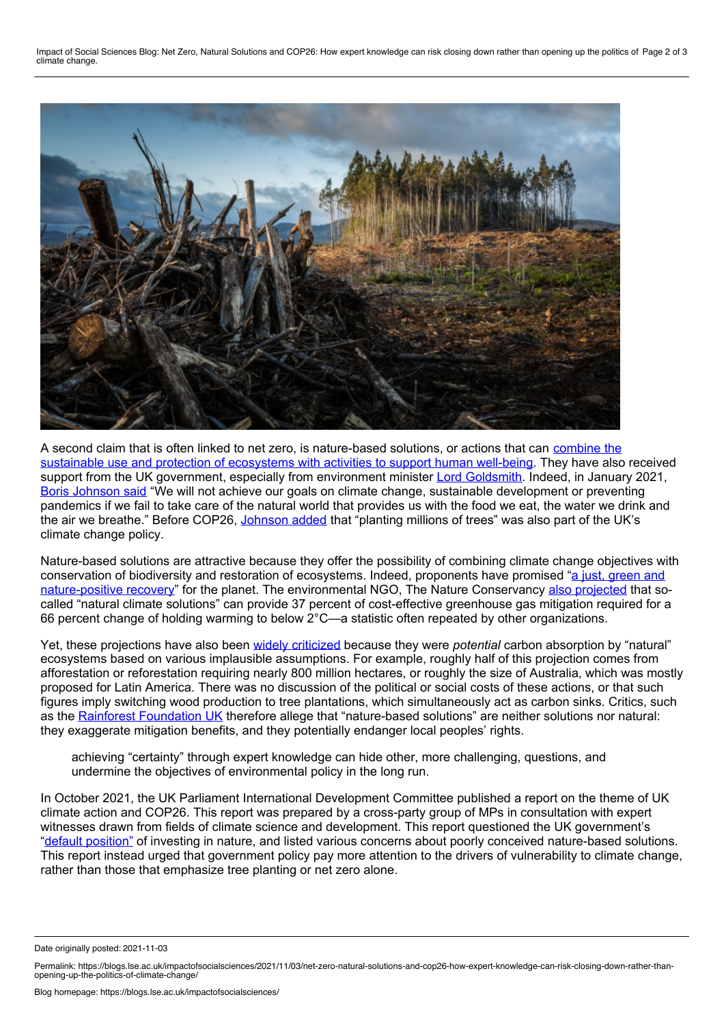Impact of Social Sciences Blog: Net Zero, Natural Solutions and COP26: How expert knowledge can risk closing down rather than opening up the politics of Page 2 of 3<br>climate change.



A second claim that is often linked to net zero, is [nature-based](https://www.iucn.org/commissions/commission-ecosystem-management/our-work/nature-based-solutions) solutions, or actions that can combine the sustainable use and protection of ecosystems with activities to support human well-being. They have also received support from the UK government, especially from environment minister Lord [Goldsmith](https://www.ft.com/content/6543c113-99ba-443c-9ddb-2d9f5037fb6c). Indeed, in January 2021, Boris [Johnson](https://www.reuters.com/article/uk-britain-climate-idUSKBN29G18Q) said "We will not achieve our goals on climate change, sustainable development or preventing pandemics if we fail to take care of the natural world that provides us with the food we eat, the water we drink and the air we breathe." Before COP26, [Johnson](https://www.theguardian.com/environment/2021/oct/30/cop26-failure-could-mean-mass-migration-and-food-shortages-says-boris-johnson) added that "planting millions of trees" was also part of the UK's climate change policy.

Nature-based solutions are attractive because they offer the possibility of combining climate change objectives with conservation of biodiversity and restoration of ecosystems. Indeed, proponents have promised "a just, green and [nature-positive](https://www.theguardian.com/environment/2021/oct/28/net-zero-is-not-enough-we-need-to-build-a-nature-positive-future-aoe) recovery" for the planet. The environmental NGO, The Nature Conservancy also [projected](https://www.pnas.org/content/114/44/11645) that socalled "natural climate solutions" can provide 37 percent of cost-effective greenhouse gas mitigation required for a 66 percent change of holding warming to below 2°C—a statistic often repeated by other organizations.

Yet, these projections have also been widely [criticized](https://wrm.org.uy/articles-from-the-wrm-bulletin/section1/conservation-ngos-gift-polluters-a-massive-land-grab-called-nature-based-solutions/) because they were *potential* carbon absorption by "natural" ecosystems based on various implausible assumptions. For example, roughly half of this projection comes from afforestation or reforestation requiring nearly 800 million hectares, or roughly the size of Australia, which was mostly proposed for Latin America. There was no discussion of the political or social costs of these actions, or that such figures imply switching wood production to tree plantations, which simultaneously act as carbon sinks. Critics, such as the Rainforest [Foundation](https://www.rainforestfoundationuk.org/media.ashx/eng-open-letter-to-the-cop26-presidency.pdf) UK therefore allege that "nature-based solutions" are neither solutions nor natural: they exaggerate mitigation benefits, and they potentially endanger local peoples' rights.

achieving "certainty" through expert knowledge can hide other, more challenging, questions, and undermine the objectives of environmental policy in the long run.

In October 2021, the UK Parliament International Development Committee published a report on the theme of UK climate action and COP26. This report was prepared by a cross-party group of MPs in consultation with expert witnesses drawn from fields of climate science and development. This report questioned the UK government's "default [position"](https://publications.parliament.uk/pa/cm5802/cmselect/cmintdev/99/9903.htm#_idTextAnchor000) of investing in nature, and listed various concerns about poorly conceived nature-based solutions. This report instead urged that government policy pay more attention to the drivers of vulnerability to climate change, rather than those that emphasize tree planting or net zero alone.

Date originally posted: 2021-11-03

Permalink: https://blogs.lse.ac.uk/impactofsocialsciences/2021/11/03/net-zero-natural-solutions-and-cop26-how-expert-knowledge-can-risk-closing-down-rather-than-<br>opening-up-the-politics-of-climate-change/